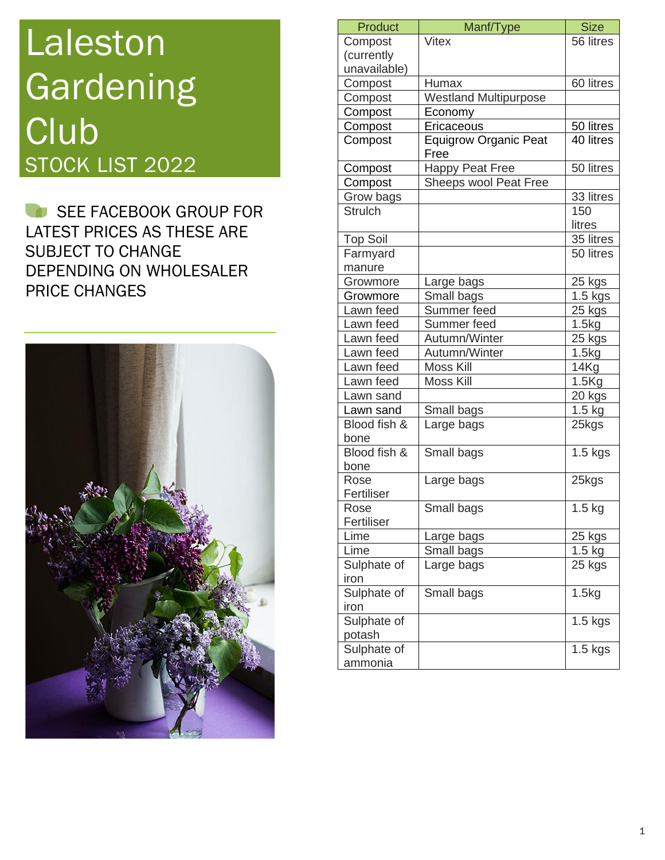## Laleston Gardening **Club** STOCK LIST 2022

SEE FACEBOOK GROUP FOR LATEST PRICES AS THESE ARE SUBJECT TO CHANGE DEPENDING ON WHOLESALER PRICE CHANGES



| Product             | Manf/Type                            | <b>Size</b> |
|---------------------|--------------------------------------|-------------|
| Compost             | Vitex                                | 56 litres   |
| (currently          |                                      |             |
| unavailable)        |                                      |             |
| Compost             | Humax                                | 60 litres   |
| Compost             | <b>Westland Multipurpose</b>         |             |
| Compost             | Economy                              |             |
| Compost             | Ericaceous                           | 50 litres   |
| Compost             | <b>Equigrow Organic Peat</b><br>Free | 40 litres   |
| Compost             | <b>Happy Peat Free</b>               | 50 litres   |
| Compost             | Sheeps wool Peat Free                |             |
| Grow bags           |                                      | 33 litres   |
| <b>Strulch</b>      |                                      | 150         |
|                     |                                      | litres      |
| <b>Top Soil</b>     |                                      | 35 litres   |
| Farmyard            |                                      | 50 litres   |
| manure              |                                      |             |
| Growmore            | Large bags                           | 25 kgs      |
| Growmore            | Small bags                           | $1.5$ kgs   |
| Lawn feed           | Summer feed                          | 25 kgs      |
| Lawn feed           | Summer feed                          | 1.5kg       |
| Lawn feed           | Autumn/Winter                        | 25 kgs      |
| Lawn feed           | Autumn/Winter                        | 1.5kg       |
| Lawn feed           | Moss Kill                            | 14Kg        |
| Lawn feed           | Moss Kill                            | 1.5Kg       |
| Lawn sand           |                                      | 20 kgs      |
| Lawn sand           | Small bags                           | $1.5$ kg    |
| Blood fish &        | Large bags                           | 25kgs       |
| bone                |                                      |             |
| Blood fish &        | Small bags                           | $1.5$ kgs   |
| bone                |                                      |             |
| Rose                | Large bags                           | 25kgs       |
| Fertiliser          |                                      |             |
| Rose                | Small bags                           | $1.5$ kg    |
| Fertiliser          |                                      |             |
| Lime                | Large bags                           | 25 kgs      |
| Lime                | Small bags                           | $1.5$ kg    |
| Sulphate of<br>iron | Large bags                           | 25 kgs      |
| Sulphate of<br>iron | Small bags                           | 1.5kg       |
| Sulphate of         |                                      | $1.5$ kgs   |
| potash              |                                      |             |
| Sulphate of         |                                      | $1.5$ kgs   |
| ammonia             |                                      |             |